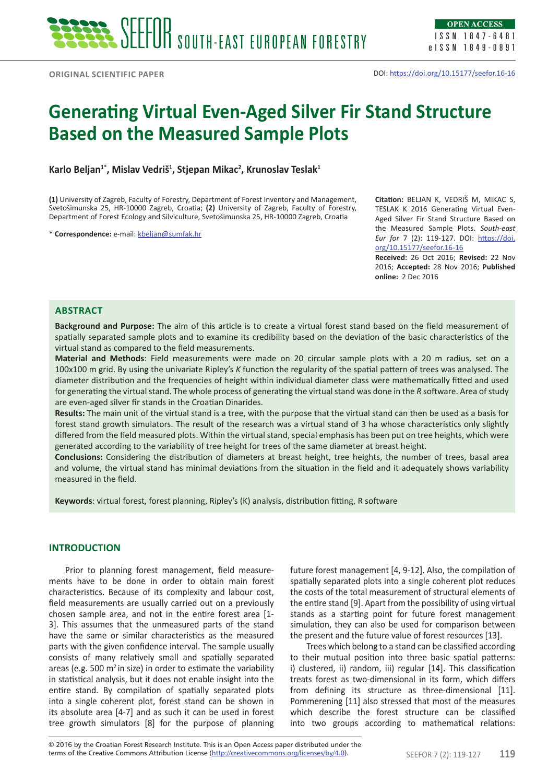# **Generating Virtual Even-Aged Silver Fir Stand Structure Based on the Measured Sample Plots**

**Karlo Beljan1\*, Mislav Vedriš<sup>1</sup> , Stjepan Mikac<sup>2</sup> , Krunoslav Teslak<sup>1</sup>**

**(1)** University of Zagreb, Faculty of Forestry, Department of Forest Inventory and Management, Svetošimunska 25, HR-10000 Zagreb, Croatia; **(2)** University of Zagreb, Faculty of Forestry, Department of Forest Ecology and Silviculture, Svetošimunska 25, HR-10000 Zagreb, Croatia

\* **Correspondence:** e-mail: kbeljan@sumfak.hr

**Citation:** BELJAN K, VEDRIŠ M, MIKAC S, TESLAK K 2016 Generating Virtual Even-Aged Silver Fir Stand Structure Based on the Measured Sample Plots. *South-east Eur for* 7 (2): 119-127. DOI: https://doi. org/10.15177/seefor.16-16

**Received:** 26 Oct 2016; **Revised:** 22 Nov 2016; **Accepted:** 28 Nov 2016; **Published online:** 2 Dec 2016

## **ABSTRACT**

**Background and Purpose:** The aim of this article is to create a virtual forest stand based on the field measurement of spatially separated sample plots and to examine its credibility based on the deviation of the basic characteristics of the virtual stand as compared to the field measurements.

**Material and Methods**: Field measurements were made on 20 circular sample plots with a 20 m radius, set on a 100x100 m grid. By using the univariate Ripley's *K* function the regularity of the spatial pattern of trees was analysed. The diameter distribution and the frequencies of height within individual diameter class were mathematically fitted and used for generating the virtual stand. The whole process of generating the virtual stand was done in the *R* software. Area of study are even-aged silver fir stands in the Croatian Dinarides.

**Results:** The main unit of the virtual stand is a tree, with the purpose that the virtual stand can then be used as a basis for forest stand growth simulators. The result of the research was a virtual stand of 3 ha whose characteristics only slightly differed from the field measured plots. Within the virtual stand, special emphasis has been put on tree heights, which were generated according to the variability of tree height for trees of the same diameter at breast height.

**Conclusions:** Considering the distribution of diameters at breast height, tree heights, the number of trees, basal area and volume, the virtual stand has minimal deviations from the situation in the field and it adequately shows variability measured in the field.

**Keywords**: virtual forest, forest planning, Ripley's (K) analysis, distribution fitting, R software

## **INTRODUCTION**

Prior to planning forest management, field measurements have to be done in order to obtain main forest characteristics. Because of its complexity and labour cost, field measurements are usually carried out on a previously chosen sample area, and not in the entire forest area [1- 3]. This assumes that the unmeasured parts of the stand have the same or similar characteristics as the measured parts with the given confidence interval. The sample usually consists of many relatively small and spatially separated areas (e.g. 500  $m^2$  in size) in order to estimate the variability in statistical analysis, but it does not enable insight into the entire stand. By compilation of spatially separated plots into a single coherent plot, forest stand can be shown in its absolute area [4-7] and as such it can be used in forest tree growth simulators [8] for the purpose of planning

future forest management [4, 9-12]. Also, the compilation of spatially separated plots into a single coherent plot reduces the costs of the total measurement of structural elements of the entire stand [9]. Apart from the possibility of using virtual stands as a starting point for future forest management simulation, they can also be used for comparison between the present and the future value of forest resources [13].

Trees which belong to a stand can be classified according to their mutual position into three basic spatial patterns: i) clustered, ii) random, iii) regular [14]. This classification treats forest as two-dimensional in its form, which differs from defining its structure as three-dimensional [11]. Pommerening [11] also stressed that most of the measures which describe the forest structure can be classified into two groups according to mathematical relations: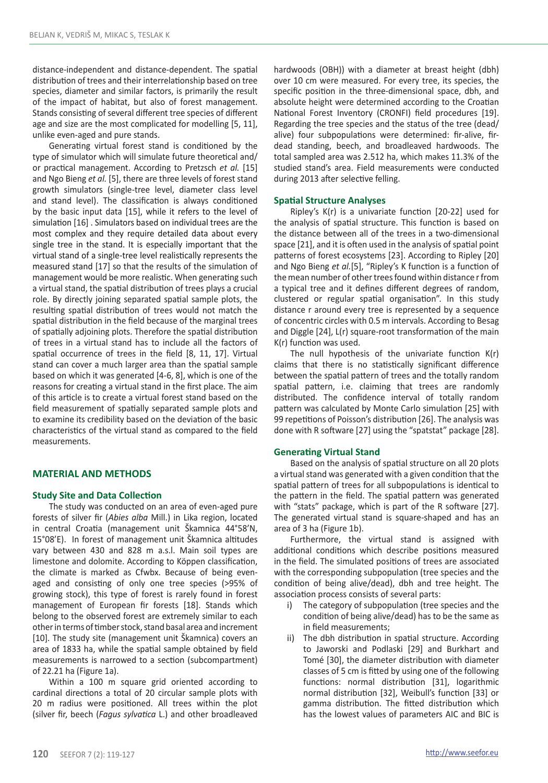distance-independent and distance-dependent. The spatial distribution of trees and their interrelationship based on tree species, diameter and similar factors, is primarily the result of the impact of habitat, but also of forest management. Stands consisting of several different tree species of different age and size are the most complicated for modelling [5, 11], unlike even-aged and pure stands.

Generating virtual forest stand is conditioned by the type of simulator which will simulate future theoretical and/ or practical management. According to Pretzsch *et al.* [15] and Ngo Bieng *et al.* [5], there are three levels of forest stand growth simulators (single-tree level, diameter class level and stand level). The classification is always conditioned by the basic input data [15], while it refers to the level of simulation [16] . Simulators based on individual trees are the most complex and they require detailed data about every single tree in the stand. It is especially important that the virtual stand of a single-tree level realistically represents the measured stand [17] so that the results of the simulation of management would be more realistic. When generating such a virtual stand, the spatial distribution of trees plays a crucial role. By directly joining separated spatial sample plots, the resulting spatial distribution of trees would not match the spatial distribution in the field because of the marginal trees of spatially adjoining plots. Therefore the spatial distribution of trees in a virtual stand has to include all the factors of spatial occurrence of trees in the field [8, 11, 17]. Virtual stand can cover a much larger area than the spatial sample based on which it was generated [4-6, 8], which is one of the reasons for creating a virtual stand in the first place. The aim of this article is to create a virtual forest stand based on the field measurement of spatially separated sample plots and to examine its credibility based on the deviation of the basic characteristics of the virtual stand as compared to the field measurements.

# **MATERIAL AND METHODS**

# **Study Site and Data Collection**

The study was conducted on an area of even-aged pure forests of silver fir (*Abies alba* Mill.) in Lika region, located in central Croatia (management unit Škamnica 44°58'N, 15°08'E). In forest of management unit Škamnica altitudes vary between 430 and 828 m a.s.l. Main soil types are limestone and dolomite. According to Köppen classification, the climate is marked as Cfwbx. Because of being evenaged and consisting of only one tree species (>95% of growing stock), this type of forest is rarely found in forest management of European fir forests [18]. Stands which belong to the observed forest are extremely similar to each other in terms of timber stock, stand basal area and increment [10]. The study site (management unit Škamnica) covers an area of 1833 ha, while the spatial sample obtained by field measurements is narrowed to a section (subcompartment) of 22.21 ha (Figure 1a).

Within a 100 m square grid oriented according to cardinal directions a total of 20 circular sample plots with 20 m radius were positioned. All trees within the plot (silver fir, beech (*Fagus sylvatica* L.) and other broadleaved hardwoods (OBH)) with a diameter at breast height (dbh) over 10 cm were measured. For every tree, its species, the specific position in the three-dimensional space, dbh, and absolute height were determined according to the Croatian National Forest Inventory (CRONFI) field procedures [19]. Regarding the tree species and the status of the tree (dead/ alive) four subpopulations were determined: fir-alive, firdead standing, beech, and broadleaved hardwoods. The total sampled area was 2.512 ha, which makes 11.3% of the studied stand's area. Field measurements were conducted during 2013 after selective felling.

#### **Spatial Structure Analyses**

Ripley's K(r) is a univariate function [20-22] used for the analysis of spatial structure. This function is based on the distance between all of the trees in a two-dimensional space [21], and it is often used in the analysis of spatial point patterns of forest ecosystems [23]. According to Ripley [20] and Ngo Bieng *et al.*[5], "Ripley's K function is a function of the mean number of other trees found within distance r from a typical tree and it defines different degrees of random, clustered or regular spatial organisation". In this study distance r around every tree is represented by a sequence of concentric circles with 0.5 m intervals. According to Besag and Diggle [24], L(r) square-root transformation of the main K(r) function was used.

The null hypothesis of the univariate function K(r) claims that there is no statistically significant difference between the spatial pattern of trees and the totally random spatial pattern, i.e. claiming that trees are randomly distributed. The confidence interval of totally random pattern was calculated by Monte Carlo simulation [25] with 99 repetitions of Poisson's distribution [26]. The analysis was done with R software [27] using the "spatstat" package [28].

#### **Generating Virtual Stand**

Based on the analysis of spatial structure on all 20 plots a virtual stand was generated with a given condition that the spatial pattern of trees for all subpopulations is identical to the pattern in the field. The spatial pattern was generated with "stats" package, which is part of the R software [27]. The generated virtual stand is square-shaped and has an area of 3 ha (Figure 1b).

Furthermore, the virtual stand is assigned with additional conditions which describe positions measured in the field. The simulated positions of trees are associated with the corresponding subpopulation (tree species and the condition of being alive/dead), dbh and tree height. The association process consists of several parts:

- i) The category of subpopulation (tree species and the condition of being alive/dead) has to be the same as in field measurements;
- ii) The dbh distribution in spatial structure. According to Jaworski and Podlaski [29] and Burkhart and Tomé [30], the diameter distribution with diameter classes of 5 cm is fitted by using one of the following functions: normal distribution [31], logarithmic normal distribution [32], Weibull's function [33] or gamma distribution. The fitted distribution which has the lowest values of parameters AIC and BIC is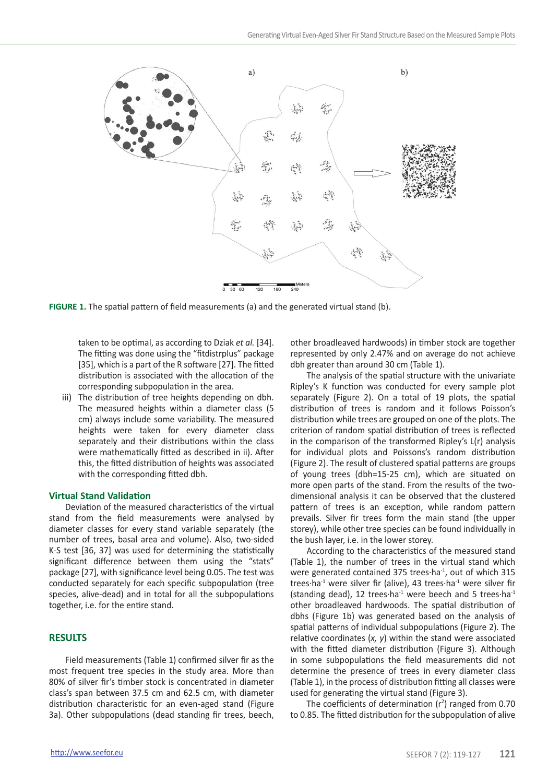

**FIGURE 1.** The spatial pattern of field measurements (a) and the generated virtual stand (b).

taken to be optimal, as according to Dziak *et al.* [34]. The fitting was done using the "fitdistrplus" package [35], which is a part of the R software [27]. The fitted distribution is associated with the allocation of the corresponding subpopulation in the area.

iii) The distribution of tree heights depending on dbh. The measured heights within a diameter class (5 cm) always include some variability. The measured heights were taken for every diameter class separately and their distributions within the class were mathematically fitted as described in ii). After this, the fitted distribution of heights was associated with the corresponding fitted dbh.

# **Virtual Stand Validation**

Deviation of the measured characteristics of the virtual stand from the field measurements were analysed by diameter classes for every stand variable separately (the number of trees, basal area and volume). Also, two-sided K-S test [36, 37] was used for determining the statistically significant difference between them using the "stats" package [27], with significance level being 0.05. The test was conducted separately for each specific subpopulation (tree species, alive-dead) and in total for all the subpopulations together, i.e. for the entire stand.

# **RESULTS**

Field measurements (Table 1) confirmed silver fir as the most frequent tree species in the study area. More than 80% of silver fir's timber stock is concentrated in diameter class's span between 37.5 cm and 62.5 cm, with diameter distribution characteristic for an even-aged stand (Figure 3a). Other subpopulations (dead standing fir trees, beech, other broadleaved hardwoods) in timber stock are together represented by only 2.47% and on average do not achieve dbh greater than around 30 cm (Table 1).

The analysis of the spatial structure with the univariate Ripley's K function was conducted for every sample plot separately (Figure 2). On a total of 19 plots, the spatial distribution of trees is random and it follows Poisson's distribution while trees are grouped on one of the plots. The criterion of random spatial distribution of trees is reflected in the comparison of the transformed Ripley's L(r) analysis for individual plots and Poissons's random distribution (Figure 2). The result of clustered spatial patterns are groups of young trees (dbh=15-25 cm), which are situated on more open parts of the stand. From the results of the twodimensional analysis it can be observed that the clustered pattern of trees is an exception, while random pattern prevails. Silver fir trees form the main stand (the upper storey), while other tree species can be found individually in the bush layer, i.e. in the lower storey.

According to the characteristics of the measured stand (Table 1), the number of trees in the virtual stand which were generated contained 375 trees∙ha<sup>-1</sup>, out of which 315 trees∙ha<sup>-1</sup> were silver fir (alive), 43 trees∙ha<sup>-1</sup> were silver fir (standing dead), 12 trees∙ha<sup>-1</sup> were beech and 5 trees∙ha<sup>-1</sup> other broadleaved hardwoods. The spatial distribution of dbhs (Figure 1b) was generated based on the analysis of spatial patterns of individual subpopulations (Figure 2). The relative coordinates (*x, y*) within the stand were associated with the fitted diameter distribution (Figure 3). Although in some subpopulations the field measurements did not determine the presence of trees in every diameter class (Table 1), in the process of distribution fitting all classes were used for generating the virtual stand (Figure 3).

The coefficients of determination  $(r^2)$  ranged from 0.70 to 0.85. The fitted distribution for the subpopulation of alive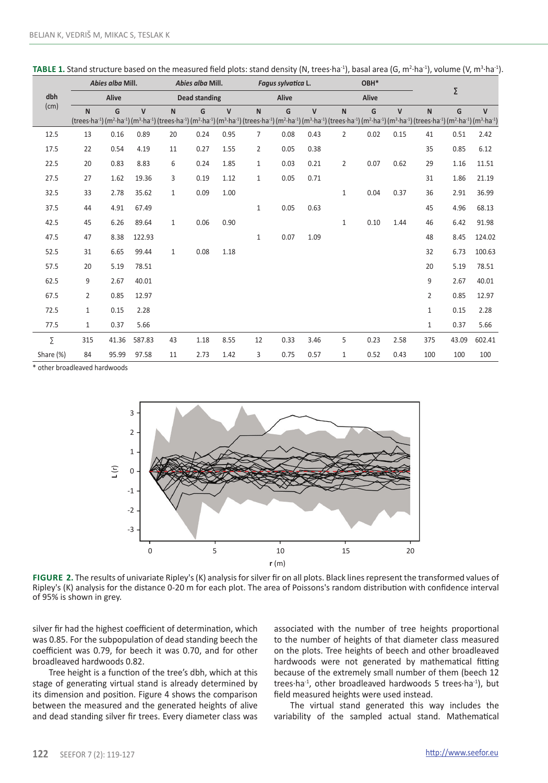|           | Abies alba Mill. |       |                      | Abies alba Mill. |      |              |                                                                                                                                                                                                                                                                                                                                                                                                                                                            | Fagus sylvatica L. |              |              | OBH* |              |                |       |        |
|-----------|------------------|-------|----------------------|------------------|------|--------------|------------------------------------------------------------------------------------------------------------------------------------------------------------------------------------------------------------------------------------------------------------------------------------------------------------------------------------------------------------------------------------------------------------------------------------------------------------|--------------------|--------------|--------------|------|--------------|----------------|-------|--------|
| dbh       | Alive            |       | <b>Dead standing</b> |                  |      |              | Alive                                                                                                                                                                                                                                                                                                                                                                                                                                                      |                    |              | Alive        |      |              | Σ              |       |        |
| (cm)      | N                | G     | $\mathsf{V}$         | $\mathsf{N}$     | G    | $\mathsf{V}$ | N<br>(trees·ha <sup>-1</sup> ) (m <sup>2</sup> ·ha <sup>-1</sup> ) (m <sup>3</sup> ·ha <sup>-1</sup> ) (trees·ha <sup>-1</sup> ) (m <sup>2</sup> ·ha <sup>-1</sup> ) (m <sup>3</sup> ·ha <sup>-1</sup> ) (trees·ha <sup>-1</sup> ) (m <sup>2</sup> ·ha <sup>-1</sup> ) (m <sup>2</sup> ·ha <sup>-1</sup> ) (m <sup>3</sup> ·ha <sup>-1</sup> ) (m <sup>3</sup> ·ha <sup>-1</sup> ) (m <sup>2</sup> ·ha <sup>-1</sup> ) (m <sup>3</sup> ·ha <sup>-1</sup> ) | G                  | $\mathsf{V}$ | $\mathsf{N}$ | G    | $\mathsf{V}$ | N              | G     | V      |
|           |                  |       |                      |                  |      |              |                                                                                                                                                                                                                                                                                                                                                                                                                                                            |                    |              |              |      |              |                |       |        |
| 12.5      | 13               | 0.16  | 0.89                 | 20               | 0.24 | 0.95         | $\overline{7}$                                                                                                                                                                                                                                                                                                                                                                                                                                             | 0.08               | 0.43         | 2            | 0.02 | 0.15         | 41             | 0.51  | 2.42   |
| 17.5      | 22               | 0.54  | 4.19                 | 11               | 0.27 | 1.55         | 2                                                                                                                                                                                                                                                                                                                                                                                                                                                          | 0.05               | 0.38         |              |      |              | 35             | 0.85  | 6.12   |
| 22.5      | 20               | 0.83  | 8.83                 | 6                | 0.24 | 1.85         | $\mathbf{1}$                                                                                                                                                                                                                                                                                                                                                                                                                                               | 0.03               | 0.21         | 2            | 0.07 | 0.62         | 29             | 1.16  | 11.51  |
| 27.5      | 27               | 1.62  | 19.36                | 3                | 0.19 | 1.12         | $\mathbf{1}$                                                                                                                                                                                                                                                                                                                                                                                                                                               | 0.05               | 0.71         |              |      |              | 31             | 1.86  | 21.19  |
| 32.5      | 33               | 2.78  | 35.62                | $\mathbf{1}$     | 0.09 | 1.00         |                                                                                                                                                                                                                                                                                                                                                                                                                                                            |                    |              | $\mathbf{1}$ | 0.04 | 0.37         | 36             | 2.91  | 36.99  |
| 37.5      | 44               | 4.91  | 67.49                |                  |      |              | $1\,$                                                                                                                                                                                                                                                                                                                                                                                                                                                      | 0.05               | 0.63         |              |      |              | 45             | 4.96  | 68.13  |
| 42.5      | 45               | 6.26  | 89.64                | $\mathbf{1}$     | 0.06 | 0.90         |                                                                                                                                                                                                                                                                                                                                                                                                                                                            |                    |              | $\mathbf{1}$ | 0.10 | 1.44         | 46             | 6.42  | 91.98  |
| 47.5      | 47               | 8.38  | 122.93               |                  |      |              | $\mathbf{1}$                                                                                                                                                                                                                                                                                                                                                                                                                                               | 0.07               | 1.09         |              |      |              | 48             | 8.45  | 124.02 |
| 52.5      | 31               | 6.65  | 99.44                | $\mathbf{1}$     | 0.08 | 1.18         |                                                                                                                                                                                                                                                                                                                                                                                                                                                            |                    |              |              |      |              | 32             | 6.73  | 100.63 |
| 57.5      | 20               | 5.19  | 78.51                |                  |      |              |                                                                                                                                                                                                                                                                                                                                                                                                                                                            |                    |              |              |      |              | 20             | 5.19  | 78.51  |
| 62.5      | 9                | 2.67  | 40.01                |                  |      |              |                                                                                                                                                                                                                                                                                                                                                                                                                                                            |                    |              |              |      |              | 9              | 2.67  | 40.01  |
| 67.5      | $\overline{2}$   | 0.85  | 12.97                |                  |      |              |                                                                                                                                                                                                                                                                                                                                                                                                                                                            |                    |              |              |      |              | $\overline{2}$ | 0.85  | 12.97  |
| 72.5      | $\mathbf{1}$     | 0.15  | 2.28                 |                  |      |              |                                                                                                                                                                                                                                                                                                                                                                                                                                                            |                    |              |              |      |              | $\mathbf{1}$   | 0.15  | 2.28   |
| 77.5      | $\mathbf{1}$     | 0.37  | 5.66                 |                  |      |              |                                                                                                                                                                                                                                                                                                                                                                                                                                                            |                    |              |              |      |              | $\mathbf{1}$   | 0.37  | 5.66   |
| Σ         | 315              | 41.36 | 587.83               | 43               | 1.18 | 8.55         | 12                                                                                                                                                                                                                                                                                                                                                                                                                                                         | 0.33               | 3.46         | 5            | 0.23 | 2.58         | 375            | 43.09 | 602.41 |
| Share (%) | 84               | 95.99 | 97.58                | 11               | 2.73 | 1.42         | 3                                                                                                                                                                                                                                                                                                                                                                                                                                                          | 0.75               | 0.57         | 1            | 0.52 | 0.43         | 100            | 100   | 100    |

**TABLE 1.** Stand structure based on the measured field plots: stand density (N, trees∙ha<sup>-1</sup>), basal area (G, m<sup>2</sup>·ha<sup>-1</sup>), volume (V, m<sup>3</sup>·ha<sup>-1</sup>).

\* other broadleaved hardwoods



**FIGURE 2.** The results of univariate Ripley's (K) analysis for silver fir on all plots. Black lines represent the transformed values of Ripley's (K) analysis for the distance 0-20 m for each plot. The area of Poissons's random distribution with confidence interval of 95% is shown in grey.

silver fir had the highest coefficient of determination, which was 0.85. For the subpopulation of dead standing beech the coefficient was 0.79, for beech it was 0.70, and for other broadleaved hardwoods 0.82.

Tree height is a function of the tree's dbh, which at this stage of generating virtual stand is already determined by its dimension and position. Figure 4 shows the comparison between the measured and the generated heights of alive and dead standing silver fir trees. Every diameter class was associated with the number of tree heights proportional to the number of heights of that diameter class measured on the plots. Tree heights of beech and other broadleaved hardwoods were not generated by mathematical fitting because of the extremely small number of them (beech 12 trees⋅ha<sup>-1</sup>, other broadleaved hardwoods 5 trees⋅ha<sup>-1</sup>), but field measured heights were used instead.

The virtual stand generated this way includes the variability of the sampled actual stand. Mathematical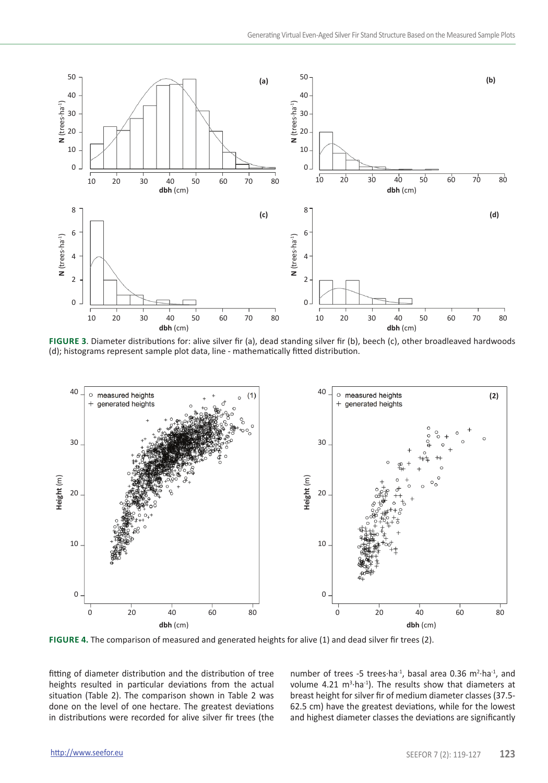

**Figure 3**. Diameter distributions for: alive silver fir (a), dead standing silver fir (b), beech (c), other broadleaved hardwoods (d); histograms represent sample plot data, line - mathematically fitted distribution.



**Figure 4.** The comparison of measured and generated heights for alive (1) and dead silver fir trees (2).

fitting of diameter distribution and the distribution of tree heights resulted in particular deviations from the actual situation (Table 2). The comparison shown in Table 2 was done on the level of one hectare. The greatest deviations in distributions were recorded for alive silver fir trees (the

number of trees -5 trees⋅ha<sup>-1</sup>, basal area 0.36 m<sup>2</sup>⋅ha<sup>-1</sup>, and volume 4.21  $m^3$ -ha<sup>-1</sup>). The results show that diameters at breast height for silver fir of medium diameter classes (37.5- 62.5 cm) have the greatest deviations, while for the lowest and highest diameter classes the deviations are significantly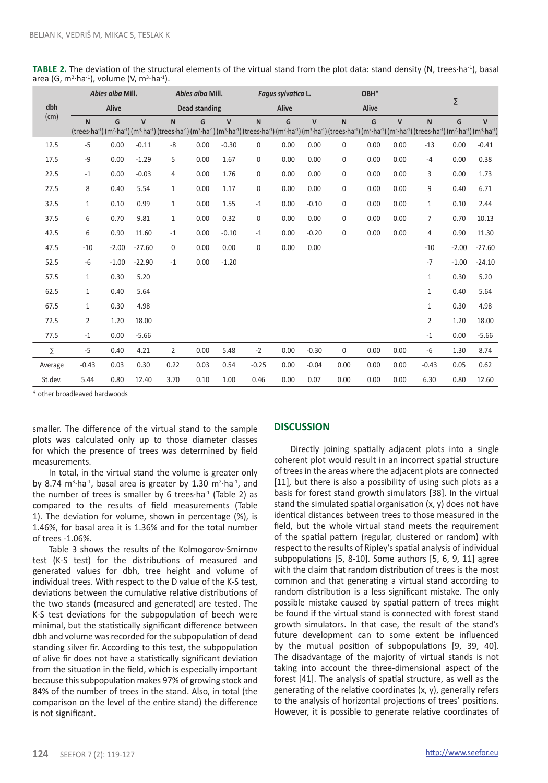|             |              | Abies alba Mill. |              | Abies alba Mill. |                      |                |                                                                                                                                                                                                                                                                                                                                                                                                                                                            | Fagus sylvatica L. |              |      | OBH*  |              |                |         |              |  |
|-------------|--------------|------------------|--------------|------------------|----------------------|----------------|------------------------------------------------------------------------------------------------------------------------------------------------------------------------------------------------------------------------------------------------------------------------------------------------------------------------------------------------------------------------------------------------------------------------------------------------------------|--------------------|--------------|------|-------|--------------|----------------|---------|--------------|--|
| dbh<br>(cm) |              | Alive            |              |                  | <b>Dead standing</b> |                |                                                                                                                                                                                                                                                                                                                                                                                                                                                            | Alive              |              |      | Alive |              |                | Σ       |              |  |
|             | N            | G                | $\mathbf{V}$ | $\mathbf N$      | G                    | $\overline{V}$ | $\mathbf N$<br>(trees·ha <sup>-1</sup> ) (m <sup>2</sup> ·ha <sup>-1</sup> ) (m <sup>3</sup> ·ha <sup>-1</sup> ) (trees·ha <sup>-1</sup> ) (m <sup>2</sup> ·ha <sup>-1</sup> ) (m <sup>3</sup> ·ha <sup>-1</sup> ) (trees·ha <sup>-1</sup> ) (m <sup>2</sup> ·ha <sup>-1</sup> ) (m <sup>2</sup> ·ha <sup>-1</sup> ) (trees·ha <sup>-1</sup> ) (m <sup>2</sup> ·ha <sup>-1</sup> ) (m <sup>2</sup> ·ha <sup>-1</sup> ) (m <sup>3</sup> ·ha <sup>-1</sup> ) | G                  | $\mathsf{V}$ | N    | G     | $\mathsf{V}$ | N              | G       | $\mathsf{V}$ |  |
| 12.5        | $-5$         | 0.00             | $-0.11$      | -8               | 0.00                 | $-0.30$        | 0                                                                                                                                                                                                                                                                                                                                                                                                                                                          | 0.00               | 0.00         | 0    | 0.00  | 0.00         | $-13$          | 0.00    | $-0.41$      |  |
| 17.5        | $-9$         | 0.00             | $-1.29$      | 5                | 0.00                 | 1.67           | 0                                                                                                                                                                                                                                                                                                                                                                                                                                                          | 0.00               | 0.00         | 0    | 0.00  | 0.00         | $-4$           | 0.00    | 0.38         |  |
| 22.5        | $-1$         | 0.00             | $-0.03$      | $\overline{4}$   | 0.00                 | 1.76           | 0                                                                                                                                                                                                                                                                                                                                                                                                                                                          | 0.00               | 0.00         | 0    | 0.00  | 0.00         | 3              | 0.00    | 1.73         |  |
| 27.5        | 8            | 0.40             | 5.54         | $\mathbf{1}$     | 0.00                 | 1.17           | 0                                                                                                                                                                                                                                                                                                                                                                                                                                                          | 0.00               | 0.00         | 0    | 0.00  | 0.00         | 9              | 0.40    | 6.71         |  |
| 32.5        | $\mathbf{1}$ | 0.10             | 0.99         | $\mathbf{1}$     | 0.00                 | 1.55           | $-1$                                                                                                                                                                                                                                                                                                                                                                                                                                                       | 0.00               | $-0.10$      | 0    | 0.00  | 0.00         | $\mathbf{1}$   | 0.10    | 2.44         |  |
| 37.5        | 6            | 0.70             | 9.81         | $\mathbf{1}$     | 0.00                 | 0.32           | 0                                                                                                                                                                                                                                                                                                                                                                                                                                                          | 0.00               | 0.00         | 0    | 0.00  | 0.00         | $\overline{7}$ | 0.70    | 10.13        |  |
| 42.5        | 6            | 0.90             | 11.60        | $-1$             | 0.00                 | $-0.10$        | $-1$                                                                                                                                                                                                                                                                                                                                                                                                                                                       | 0.00               | $-0.20$      | 0    | 0.00  | 0.00         | 4              | 0.90    | 11.30        |  |
| 47.5        | $-10$        | $-2.00$          | $-27.60$     | 0                | 0.00                 | 0.00           | 0                                                                                                                                                                                                                                                                                                                                                                                                                                                          | 0.00               | 0.00         |      |       |              | $-10$          | $-2.00$ | $-27.60$     |  |
| 52.5        | -6           | $-1.00$          | $-22.90$     | $-1$             | 0.00                 | $-1.20$        |                                                                                                                                                                                                                                                                                                                                                                                                                                                            |                    |              |      |       |              | $-7$           | $-1.00$ | $-24.10$     |  |
| 57.5        | $\mathbf{1}$ | 0.30             | 5.20         |                  |                      |                |                                                                                                                                                                                                                                                                                                                                                                                                                                                            |                    |              |      |       |              | $\mathbf{1}$   | 0.30    | 5.20         |  |
| 62.5        | $\mathbf{1}$ | 0.40             | 5.64         |                  |                      |                |                                                                                                                                                                                                                                                                                                                                                                                                                                                            |                    |              |      |       |              | $\mathbf{1}$   | 0.40    | 5.64         |  |
| 67.5        | $\mathbf{1}$ | 0.30             | 4.98         |                  |                      |                |                                                                                                                                                                                                                                                                                                                                                                                                                                                            |                    |              |      |       |              | $\mathbf{1}$   | 0.30    | 4.98         |  |
| 72.5        | 2            | 1.20             | 18.00        |                  |                      |                |                                                                                                                                                                                                                                                                                                                                                                                                                                                            |                    |              |      |       |              | $\overline{2}$ | 1.20    | 18.00        |  |
| 77.5        | $-1$         | 0.00             | $-5.66$      |                  |                      |                |                                                                                                                                                                                                                                                                                                                                                                                                                                                            |                    |              |      |       |              | $-1$           | 0.00    | $-5.66$      |  |
| Σ           | $-5$         | 0.40             | 4.21         | $\overline{2}$   | 0.00                 | 5.48           | $-2$                                                                                                                                                                                                                                                                                                                                                                                                                                                       | 0.00               | $-0.30$      | 0    | 0.00  | 0.00         | $-6$           | 1.30    | 8.74         |  |
| Average     | $-0.43$      | 0.03             | 0.30         | 0.22             | 0.03                 | 0.54           | $-0.25$                                                                                                                                                                                                                                                                                                                                                                                                                                                    | 0.00               | $-0.04$      | 0.00 | 0.00  | 0.00         | $-0.43$        | 0.05    | 0.62         |  |
| St.dev.     | 5.44         | 0.80             | 12.40        | 3.70             | 0.10                 | 1.00           | 0.46                                                                                                                                                                                                                                                                                                                                                                                                                                                       | 0.00               | 0.07         | 0.00 | 0.00  | 0.00         | 6.30           | 0.80    | 12.60        |  |

**Table 2.** The deviation of the structural elements of the virtual stand from the plot data: stand density (N, trees∙ha-1), basal area (G, m<sup>2.</sup>ha<sup>-1</sup>), volume (V, m<sup>3.</sup>ha<sup>-1</sup>).

\* other broadleaved hardwoods

smaller. The difference of the virtual stand to the sample plots was calculated only up to those diameter classes for which the presence of trees was determined by field measurements.

In total, in the virtual stand the volume is greater only by 8.74 m<sup>3</sup>⋅ha<sup>-1</sup>, basal area is greater by 1.30 m<sup>2</sup>⋅ha<sup>-1</sup>, and the number of trees is smaller by 6 trees∙ha<sup>-1</sup> (Table 2) as compared to the results of field measurements (Table 1). The deviation for volume, shown in percentage (%), is 1.46%, for basal area it is 1.36% and for the total number of trees -1.06%.

Table 3 shows the results of the Kolmogorov-Smirnov test (K-S test) for the distributions of measured and generated values for dbh, tree height and volume of individual trees. With respect to the D value of the K-S test, deviations between the cumulative relative distributions of the two stands (measured and generated) are tested. The K-S test deviations for the subpopulation of beech were minimal, but the statistically significant difference between dbh and volume was recorded for the subpopulation of dead standing silver fir. According to this test, the subpopulation of alive fir does not have a statistically significant deviation from the situation in the field, which is especially important because this subpopulation makes 97% of growing stock and 84% of the number of trees in the stand. Also, in total (the comparison on the level of the entire stand) the difference is not significant.

# **DISCUSSION**

Directly joining spatially adjacent plots into a single coherent plot would result in an incorrect spatial structure of trees in the areas where the adjacent plots are connected [11], but there is also a possibility of using such plots as a basis for forest stand growth simulators [38]. In the virtual stand the simulated spatial organisation (x, y) does not have identical distances between trees to those measured in the field, but the whole virtual stand meets the requirement of the spatial pattern (regular, clustered or random) with respect to the results of Ripley's spatial analysis of individual subpopulations [5, 8-10]. Some authors [5, 6, 9, 11] agree with the claim that random distribution of trees is the most common and that generating a virtual stand according to random distribution is a less significant mistake. The only possible mistake caused by spatial pattern of trees might be found if the virtual stand is connected with forest stand growth simulators. In that case, the result of the stand's future development can to some extent be influenced by the mutual position of subpopulations [9, 39, 40]. The disadvantage of the majority of virtual stands is not taking into account the three-dimensional aspect of the forest [41]. The analysis of spatial structure, as well as the generating of the relative coordinates (x, y), generally refers to the analysis of horizontal projections of trees' positions. However, it is possible to generate relative coordinates of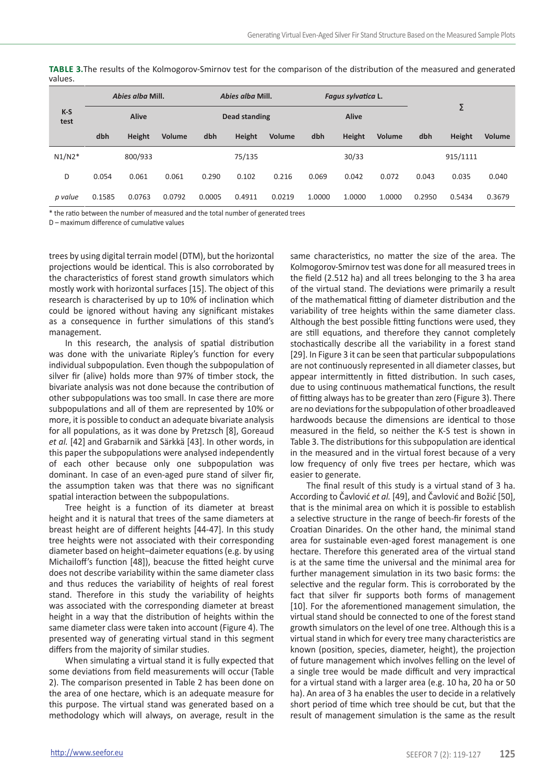| $K-S$<br>test |              | Abies alba Mill. |        |               | Abies alba Mill. |        |        | Fagus sylvatica L. |        |        |          |        |
|---------------|--------------|------------------|--------|---------------|------------------|--------|--------|--------------------|--------|--------|----------|--------|
|               | <b>Alive</b> |                  |        | Dead standing |                  |        |        | <b>Alive</b>       |        |        |          |        |
|               | dbh          | Height           | Volume | dbh           | Height           | Volume | dbh    | Height             | Volume | dbh    | Height   | Volume |
| $N1/N2*$      |              | 800/933          |        |               | 75/135           |        |        | 30/33              |        |        | 915/1111 |        |
| D             | 0.054        | 0.061            | 0.061  | 0.290         | 0.102            | 0.216  | 0.069  | 0.042              | 0.072  | 0.043  | 0.035    | 0.040  |
| p value       | 0.1585       | 0.0763           | 0.0792 | 0.0005        | 0.4911           | 0.0219 | 1.0000 | 1.0000             | 1.0000 | 0.2950 | 0.5434   | 0.3679 |

**Table 3.**The results of the Kolmogorov-Smirnov test for the comparison of the distribution of the measured and generated values.

\* the ratio between the number of measured and the total number of generated trees

D – maximum difference of cumulative values

trees by using digital terrain model (DTM), but the horizontal projections would be identical. This is also corroborated by the characteristics of forest stand growth simulators which mostly work with horizontal surfaces [15]. The object of this research is characterised by up to 10% of inclination which could be ignored without having any significant mistakes as a consequence in further simulations of this stand's management.

In this research, the analysis of spatial distribution was done with the univariate Ripley's function for every individual subpopulation. Even though the subpopulation of silver fir (alive) holds more than 97% of timber stock, the bivariate analysis was not done because the contribution of other subpopulations was too small. In case there are more subpopulations and all of them are represented by 10% or more, it is possible to conduct an adequate bivariate analysis for all populations, as it was done by Pretzsch [8], Goreaud *et al.* [42] and Grabarnik and Särkkä [43]. In other words, in this paper the subpopulations were analysed independently of each other because only one subpopulation was dominant. In case of an even-aged pure stand of silver fir, the assumption taken was that there was no significant spatial interaction between the subpopulations.

Tree height is a function of its diameter at breast height and it is natural that trees of the same diameters at breast height are of different heights [44-47]. In this study tree heights were not associated with their corresponding diameter based on height–daimeter equations (e.g. by using Michailoff's function [48]), beacuse the fitted height curve does not describe variability within the same diameter class and thus reduces the variability of heights of real forest stand. Therefore in this study the variability of heights was associated with the corresponding diameter at breast height in a way that the distribution of heights within the same diameter class were taken into account (Figure 4). The presented way of generating virtual stand in this segment differs from the majority of similar studies.

When simulating a virtual stand it is fully expected that some deviations from field measurements will occur (Table 2). The comparison presented in Table 2 has been done on the area of one hectare, which is an adequate measure for this purpose. The virtual stand was generated based on a methodology which will always, on average, result in the

same characteristics, no matter the size of the area. The Kolmogorov-Smirnov test was done for all measured trees in the field (2.512 ha) and all trees belonging to the 3 ha area of the virtual stand. The deviations were primarily a result of the mathematical fitting of diameter distribution and the variability of tree heights within the same diameter class. Although the best possible fitting functions were used, they are still equations, and therefore they cannot completely stochastically describe all the variability in a forest stand [29]. In Figure 3 it can be seen that particular subpopulations are not continuously represented in all diameter classes, but appear intermittently in fitted distribution. In such cases, due to using continuous mathematical functions, the result of fitting always has to be greater than zero (Figure 3). There are no deviations for the subpopulation of other broadleaved hardwoods because the dimensions are identical to those measured in the field, so neither the K-S test is shown in Table 3. The distributions for this subpopulation are identical in the measured and in the virtual forest because of a very low frequency of only five trees per hectare, which was easier to generate.

The final result of this study is a virtual stand of 3 ha. According to Čavlović *et al.* [49], and Čavlović and Božić [50], that is the minimal area on which it is possible to establish a selective structure in the range of beech-fir forests of the Croatian Dinarides. On the other hand, the minimal stand area for sustainable even-aged forest management is one hectare. Therefore this generated area of the virtual stand is at the same time the universal and the minimal area for further management simulation in its two basic forms: the selective and the regular form. This is corroborated by the fact that silver fir supports both forms of management [10]. For the aforementioned management simulation, the virtual stand should be connected to one of the forest stand growth simulators on the level of one tree. Although this is a virtual stand in which for every tree many characteristics are known (position, species, diameter, height), the projection of future management which involves felling on the level of a single tree would be made difficult and very impractical for a virtual stand with a larger area (e.g. 10 ha, 20 ha or 50 ha). An area of 3 ha enables the user to decide in a relatively short period of time which tree should be cut, but that the result of management simulation is the same as the result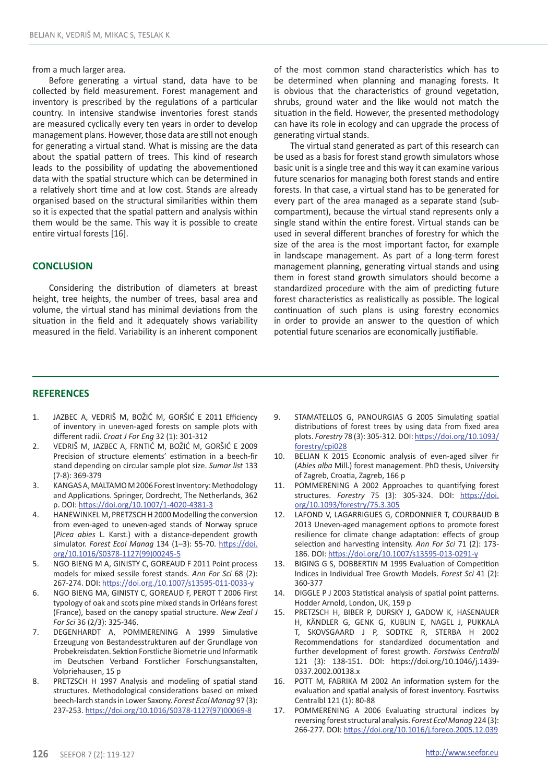from a much larger area.

Before generating a virtual stand, data have to be collected by field measurement. Forest management and inventory is prescribed by the regulations of a particular country. In intensive standwise inventories forest stands are measured cyclically every ten years in order to develop management plans. However, those data are still not enough for generating a virtual stand. What is missing are the data about the spatial pattern of trees. This kind of research leads to the possibility of updating the abovementioned data with the spatial structure which can be determined in a relatively short time and at low cost. Stands are already organised based on the structural similarities within them so it is expected that the spatial pattern and analysis within them would be the same. This way it is possible to create entire virtual forests [16].

# **CONCLUSION**

Considering the distribution of diameters at breast height, tree heights, the number of trees, basal area and volume, the virtual stand has minimal deviations from the situation in the field and it adequately shows variability measured in the field. Variability is an inherent component of the most common stand characteristics which has to be determined when planning and managing forests. It is obvious that the characteristics of ground vegetation, shrubs, ground water and the like would not match the situation in the field. However, the presented methodology can have its role in ecology and can upgrade the process of generating virtual stands.

The virtual stand generated as part of this research can be used as a basis for forest stand growth simulators whose basic unit is a single tree and this way it can examine various future scenarios for managing both forest stands and entire forests. In that case, a virtual stand has to be generated for every part of the area managed as a separate stand (subcompartment), because the virtual stand represents only a single stand within the entire forest. Virtual stands can be used in several different branches of forestry for which the size of the area is the most important factor, for example in landscape management. As part of a long-term forest management planning, generating virtual stands and using them in forest stand growth simulators should become a standardized procedure with the aim of predicting future forest characteristics as realistically as possible. The logical continuation of such plans is using forestry economics in order to provide an answer to the question of which potential future scenarios are economically justifiable.

# **REFERENCES**

- 1. JAZBEC A, VEDRIŠ M, BOŽIĆ M, GORŠIĆ E 2011 Efficiency of inventory in uneven-aged forests on sample plots with different radii. *Croat J For Eng* 32 (1): 301-312
- 2. VEDRIŠ M, JAZBEC A, FRNTIĆ M, BOŽIĆ M, GORŠIĆ E 2009 Precision of structure elements' estimation in a beech-fir stand depending on circular sample plot size. *Sumar list* 133 (7-8): 369-379
- 3. KANGAS A, MALTAMO M 2006 Forest Inventory: Methodology and Applications. Springer, Dordrecht, The Netherlands, 362 p. DOI: https://doi.org/10.1007/1-4020-4381-3
- 4. HANEWINKEL M, PRETZSCH H 2000 Modelling the conversion from even-aged to uneven-aged stands of Norway spruce (*Picea abies* L. Karst.) with a distance-dependent growth simulator. *Forest Ecol Manag* 134 (1–3): 55-70. https://doi. org/10.1016/S0378-1127(99)00245-5
- 5. NGO BIENG M A, GINISTY C, GOREAUD F 2011 Point process models for mixed sessile forest stands. *Ann For Sci* 68 (2): 267-274. DOI: https://doi.org./10.1007/s13595-011-0033-y
- 6. NGO BIENG MA, GINISTY C, GOREAUD F, PEROT T 2006 First typology of oak and scots pine mixed stands in Orléans forest (France), based on the canopy spatial structure. *New Zeal J For Sci* 36 (2/3): 325-346.
- 7. DEGENHARDT A, POMMERENING A 1999 Simulative Erzeugung von Bestandesstrukturen auf der Grundlage von Probekreisdaten. Sektion Forstliche Biometrie und Informatik im Deutschen Verband Forstlicher Forschungsanstalten, Volpriehausen, 15 p
- 8. PRETZSCH H 1997 Analysis and modeling of spatial stand structures. Methodological considerations based on mixed beech-larch stands in Lower Saxony. *Forest Ecol Manag* 97 (3): 237-253. https://doi.org/10.1016/S0378-1127(97)00069-8
- 9. STAMATELLOS G, PANOURGIAS G 2005 Simulating spatial distributions of forest trees by using data from fixed area plots. *Forestry* 78 (3): 305-312. DOI: https://doi.org/10.1093/ forestry/cpi028
- 10. BELJAN K 2015 Economic analysis of even-aged silver fir (*Abies alba* Mill.) forest management. PhD thesis, University of Zagreb, Croatia, Zagreb, 166 p
- 11. POMMERENING A 2002 Approaches to quantifying forest structures. *Forestry* 75 (3): 305-324. DOI: https://doi. org/10.1093/forestry/75.3.305
- 12. LAFOND V, LAGARRIGUES G, CORDONNIER T, COURBAUD B 2013 Uneven-aged management options to promote forest resilience for climate change adaptation: effects of group selection and harvesting intensity. *Ann For Sci* 71 (2): 173- 186. DOI: https://doi.org/10.1007/s13595-013-0291-y
- 13. BIGING G S, DOBBERTIN M 1995 Evaluation of Competition Indices in Individual Tree Growth Models. *Forest Sci* 41 (2): 360-377
- 14. DIGGLE P J 2003 Statistical analysis of spatial point patterns. Hodder Arnold, London, UK, 159 p
- 15. PRETZSCH H, BIBER P, DURSKY J, GADOW K, HASENAUER H, KÄNDLER G, GENK G, KUBLIN E, NAGEL J, PUKKALA T, SKOVSGAARD J P, SODTKE R, STERBA H 2002 Recommendations for standardized documentation and further development of forest growth. *Forstwiss Centralbl* 121 (3): 138-151. DOI: https://doi.org/10.1046/j.1439- 0337.2002.00138.x
- 16. POTT M, FABRIKA M 2002 An information system for the evaluation and spatial analysis of forest inventory. Fosrtwiss Centralbl 121 (1): 80-88
- 17. POMMERENING A 2006 Evaluating structural indices by reversing forest structural analysis. *Forest Ecol Manag* 224 (3): 266-277. DOI: https://doi.org/10.1016/j.foreco.2005.12.039